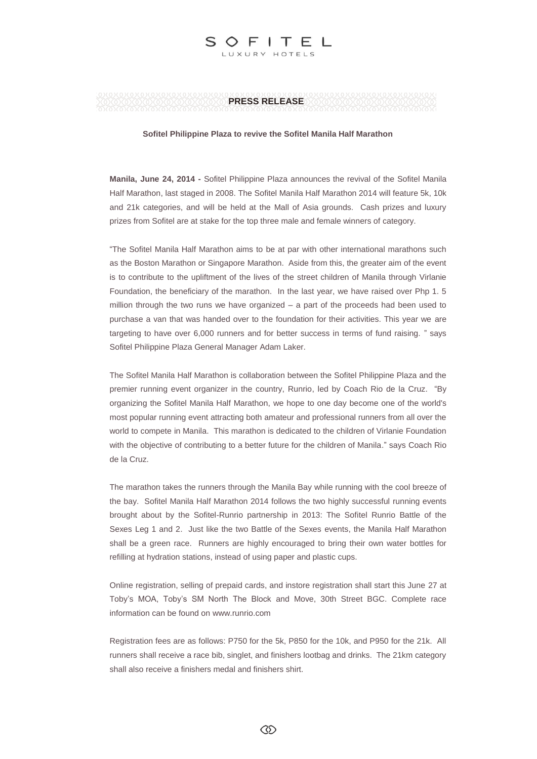## $FITE$ LUXURY HOTELS

**Sofitel Philippine Plaza to revive the Sofitel Manila Half Marathon** 

**PRESS RELEASE**

**Manila, June 24, 2014 -** Sofitel Philippine Plaza announces the revival of the Sofitel Manila Half Marathon, last staged in 2008. The Sofitel Manila Half Marathon 2014 will feature 5k, 10k and 21k categories, and will be held at the Mall of Asia grounds. Cash prizes and luxury prizes from Sofitel are at stake for the top three male and female winners of category.

"The Sofitel Manila Half Marathon aims to be at par with other international marathons such as the Boston Marathon or Singapore Marathon. Aside from this, the greater aim of the event is to contribute to the upliftment of the lives of the street children of Manila through Virlanie Foundation, the beneficiary of the marathon. In the last year, we have raised over Php 1. 5 million through the two runs we have organized  $-$  a part of the proceeds had been used to purchase a van that was handed over to the foundation for their activities. This year we are targeting to have over 6,000 runners and for better success in terms of fund raising. " says Sofitel Philippine Plaza General Manager Adam Laker.

The Sofitel Manila Half Marathon is collaboration between the Sofitel Philippine Plaza and the premier running event organizer in the country, Runrio, led by Coach Rio de la Cruz. "By organizing the Sofitel Manila Half Marathon, we hope to one day become one of the world's most popular running event attracting both amateur and professional runners from all over the world to compete in Manila. This marathon is dedicated to the children of Virlanie Foundation with the objective of contributing to a better future for the children of Manila." says Coach Rio de la Cruz.

The marathon takes the runners through the Manila Bay while running with the cool breeze of the bay. Sofitel Manila Half Marathon 2014 follows the two highly successful running events brought about by the Sofitel-Runrio partnership in 2013: The Sofitel Runrio Battle of the Sexes Leg 1 and 2. Just like the two Battle of the Sexes events, the Manila Half Marathon shall be a green race. Runners are highly encouraged to bring their own water bottles for refilling at hydration stations, instead of using paper and plastic cups.

Online registration, selling of prepaid cards, and instore registration shall start this June 27 at Toby's MOA, Toby's SM North The Block and Move, 30th Street BGC. Complete race information can be found o[n www.runrio.com](http://www.runrio.com/)

Registration fees are as follows: P750 for the 5k, P850 for the 10k, and P950 for the 21k. All runners shall receive a race bib, singlet, and finishers lootbag and drinks. The 21km category shall also receive a finishers medal and finishers shirt.